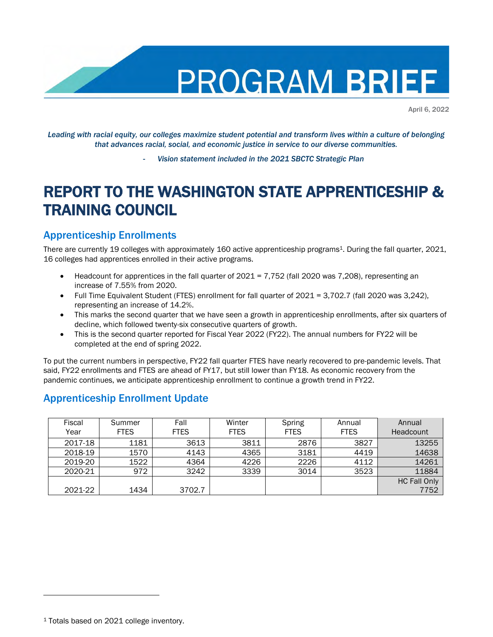

April 6, 2022

*Leading with racial equity, our colleges maximize student potential and transform lives within a culture of belonging that advances racial, social, and economic justice in service to our diverse communities.*

- *Vision statement included in the 2021 SBCTC Strategic Plan*

# REPORT TO THE WASHINGTON STATE APPRENTICESHIP & TRAINING COUNCIL

#### Apprenticeship Enrollments

There are currently 19 colleges with approximately 160 active apprenticeship programs<sup>1</sup>. During the fall quarter, 2021, 16 colleges had apprentices enrolled in their active programs.

- Headcount for apprentices in the fall quarter of 2021 = 7,752 (fall 2020 was 7,208), representing an increase of 7.55% from 2020.
- Full Time Equivalent Student (FTES) enrollment for fall quarter of 2021 = 3,702.7 (fall 2020 was 3,242), representing an increase of 14.2%.
- This marks the second quarter that we have seen a growth in apprenticeship enrollments, after six quarters of decline, which followed twenty-six consecutive quarters of growth.
- This is the second quarter reported for Fiscal Year 2022 (FY22). The annual numbers for FY22 will be completed at the end of spring 2022.

To put the current numbers in perspective, FY22 fall quarter FTES have nearly recovered to pre-pandemic levels. That said, FY22 enrollments and FTES are ahead of FY17, but still lower than FY18. As economic recovery from the pandemic continues, we anticipate apprenticeship enrollment to continue a growth trend in FY22.

#### Apprenticeship Enrollment Update

| Fiscal<br>Year | Summer<br><b>FTES</b> | Fall<br><b>FTES</b> | Winter<br><b>FTES</b> | Spring<br><b>FTES</b> | Annual<br><b>FTES</b> | Annual<br>Headcount |
|----------------|-----------------------|---------------------|-----------------------|-----------------------|-----------------------|---------------------|
|                |                       |                     |                       |                       |                       |                     |
| 2017-18        | 1181                  | 3613                | 3811                  | 2876                  | 3827                  | 13255               |
| 2018-19        | 1570                  | 4143                | 4365                  | 3181                  | 4419                  | 14638               |
| 2019-20        | 1522                  | 4364                | 4226                  | 2226                  | 4112                  | 14261               |
| 2020-21        | 972                   | 3242                | 3339                  | 3014                  | 3523                  | 11884               |
|                |                       |                     |                       |                       |                       | <b>HC Fall Only</b> |
| 2021-22        | 1434                  | 3702.7              |                       |                       |                       | 7752                |

<sup>1</sup> Totals based on 2021 college inventory.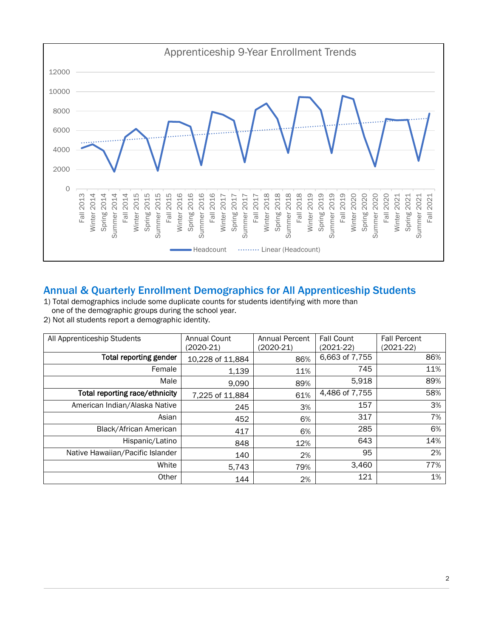

## Annual & Quarterly Enrollment Demographics for All Apprenticeship Students

1) Total demographics include some duplicate counts for students identifying with more than one of the demographic groups during the school year.

2) Not all students report a demographic identity.

| All Apprenticeship Students      | <b>Annual Count</b><br>(2020-21) | <b>Annual Percent</b><br>$(2020-21)$ | <b>Fall Count</b><br>$(2021-22)$ | <b>Fall Percent</b><br>(2021-22) |
|----------------------------------|----------------------------------|--------------------------------------|----------------------------------|----------------------------------|
| <b>Total reporting gender</b>    | 10,228 of 11,884                 | 86%                                  | 6,663 of 7,755                   | 86%                              |
| Female                           | 1,139                            | 11%                                  | 745                              | 11%                              |
| Male                             | 9,090                            | 89%                                  | 5,918                            | 89%                              |
| Total reporting race/ethnicity   | 7,225 of 11,884                  | 61%                                  | 4,486 of 7,755                   | 58%                              |
| American Indian/Alaska Native    | 245                              | 3%                                   | 157                              | 3%                               |
| Asian                            | 452                              | 6%                                   | 317                              | 7%                               |
| Black/African American           | 417                              | 6%                                   | 285                              | 6%                               |
| Hispanic/Latino                  | 848                              | 12%                                  | 643                              | 14%                              |
| Native Hawaiian/Pacific Islander | 140                              | 2%                                   | 95                               | 2%                               |
| White                            | 5,743                            | 79%                                  | 3,460                            | 77%                              |
| Other                            | 144                              | 2%                                   | 121                              | 1%                               |